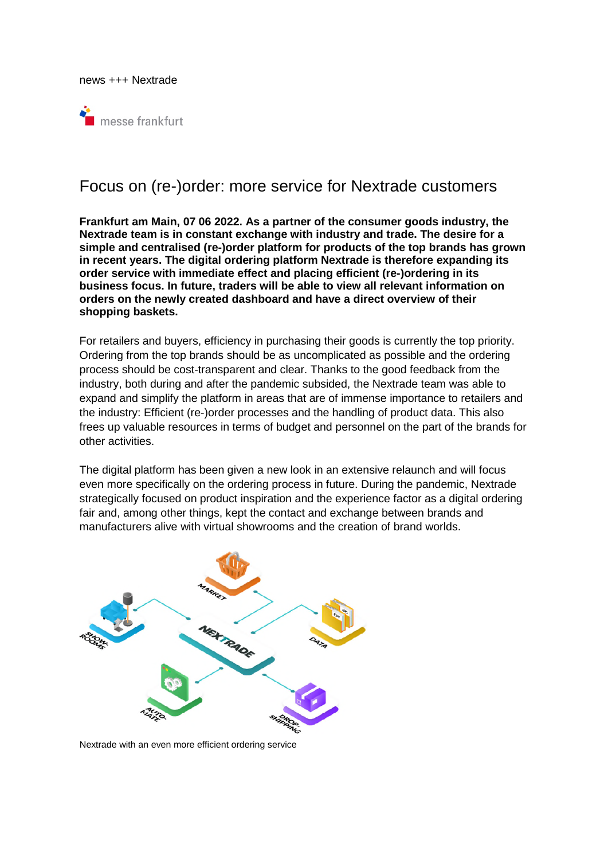news +++ Nextrade



# Focus on (re-)order: more service for Nextrade customers

**Frankfurt am Main, 07 06 2022. As a partner of the consumer goods industry, the Nextrade team is in constant exchange with industry and trade. The desire for a simple and centralised (re-)order platform for products of the top brands has grown in recent years. The digital ordering platform Nextrade is therefore expanding its order service with immediate effect and placing efficient (re-)ordering in its business focus. In future, traders will be able to view all relevant information on orders on the newly created dashboard and have a direct overview of their shopping baskets.** 

For retailers and buyers, efficiency in purchasing their goods is currently the top priority. Ordering from the top brands should be as uncomplicated as possible and the ordering process should be cost-transparent and clear. Thanks to the good feedback from the industry, both during and after the pandemic subsided, the Nextrade team was able to expand and simplify the platform in areas that are of immense importance to retailers and the industry: Efficient (re-)order processes and the handling of product data. This also frees up valuable resources in terms of budget and personnel on the part of the brands for other activities.

The digital platform has been given a new look in an extensive relaunch and will focus even more specifically on the ordering process in future. During the pandemic, Nextrade strategically focused on product inspiration and the experience factor as a digital ordering fair and, among other things, kept the contact and exchange between brands and manufacturers alive with virtual showrooms and the creation of brand worlds.



Nextrade with an even more efficient ordering service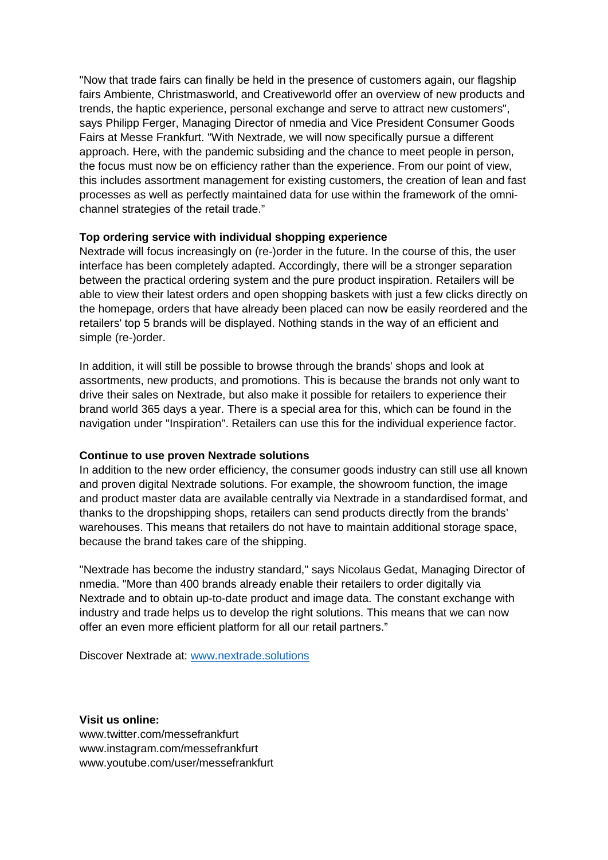"Now that trade fairs can finally be held in the presence of customers again, our flagship fairs Ambiente, Christmasworld, and Creativeworld offer an overview of new products and trends, the haptic experience, personal exchange and serve to attract new customers", says Philipp Ferger, Managing Director of nmedia and Vice President Consumer Goods Fairs at Messe Frankfurt. "With Nextrade, we will now specifically pursue a different approach. Here, with the pandemic subsiding and the chance to meet people in person, the focus must now be on efficiency rather than the experience. From our point of view, this includes assortment management for existing customers, the creation of lean and fast processes as well as perfectly maintained data for use within the framework of the omnichannel strategies of the retail trade."

## **Top ordering service with individual shopping experience**

Nextrade will focus increasingly on (re-)order in the future. In the course of this, the user interface has been completely adapted. Accordingly, there will be a stronger separation between the practical ordering system and the pure product inspiration. Retailers will be able to view their latest orders and open shopping baskets with just a few clicks directly on the homepage, orders that have already been placed can now be easily reordered and the retailers' top 5 brands will be displayed. Nothing stands in the way of an efficient and simple (re-)order.

In addition, it will still be possible to browse through the brands' shops and look at assortments, new products, and promotions. This is because the brands not only want to drive their sales on Nextrade, but also make it possible for retailers to experience their brand world 365 days a year. There is a special area for this, which can be found in the navigation under "Inspiration". Retailers can use this for the individual experience factor.

# **Continue to use proven Nextrade solutions**

In addition to the new order efficiency, the consumer goods industry can still use all known and proven digital Nextrade solutions. For example, the showroom function, the image and product master data are available centrally via Nextrade in a standardised format, and thanks to the dropshipping shops, retailers can send products directly from the brands' warehouses. This means that retailers do not have to maintain additional storage space, because the brand takes care of the shipping.

"Nextrade has become the industry standard," says Nicolaus Gedat, Managing Director of nmedia. "More than 400 brands already enable their retailers to order digitally via Nextrade and to obtain up-to-date product and image data. The constant exchange with industry and trade helps us to develop the right solutions. This means that we can now offer an even more efficient platform for all our retail partners."

Discover Nextrade at: [www.nextrade.solutions](http://www.nextrade.solutions/)

**Visit us online:**  www.twitter.com/messefrankfurt www.instagram.com/messefrankfurt www.youtube.com/user/messefrankfurt